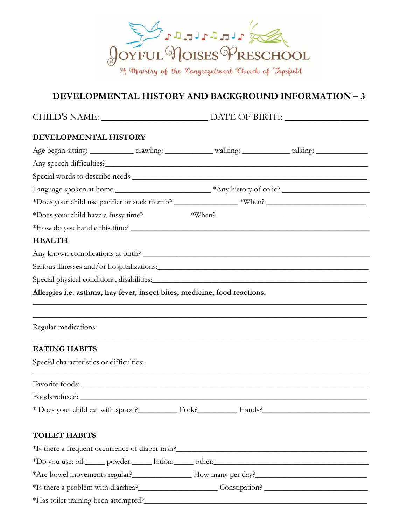

## **DEVELOPMENTAL HISTORY AND BACKGROUND INFORMATION – 3**

| <b>CHILD'S NAME:</b> | DATE OF BIRTH: |
|----------------------|----------------|
|----------------------|----------------|

## **DEVELOPMENTAL HISTORY**

|                                                                           |  | *How do you handle this time?                                                                                          |
|---------------------------------------------------------------------------|--|------------------------------------------------------------------------------------------------------------------------|
| <b>HEALTH</b>                                                             |  |                                                                                                                        |
|                                                                           |  | Any known complications at birth?                                                                                      |
|                                                                           |  |                                                                                                                        |
|                                                                           |  | Special physical conditions, disabilities:                                                                             |
| Allergies i.e. asthma, hay fever, insect bites, medicine, food reactions: |  |                                                                                                                        |
|                                                                           |  | <u> 1989 - Johann John Stoff, deutscher Stoffen und der Stoffen und der Stoffen und der Stoffen und der Stoffen un</u> |
|                                                                           |  |                                                                                                                        |
| Regular medications:                                                      |  |                                                                                                                        |
| <b>EATING HABITS</b>                                                      |  |                                                                                                                        |
| Special characteristics or difficulties:                                  |  |                                                                                                                        |
|                                                                           |  |                                                                                                                        |
|                                                                           |  |                                                                                                                        |
|                                                                           |  |                                                                                                                        |
|                                                                           |  | * Does your child eat with spoon?<br>Fork?<br>Fork?<br>Hands?<br>Sample 2001                                           |
|                                                                           |  |                                                                                                                        |
| <b>TOILET HABITS</b>                                                      |  |                                                                                                                        |
|                                                                           |  | *Is there a frequent occurrence of diaper rash?                                                                        |
|                                                                           |  |                                                                                                                        |
|                                                                           |  |                                                                                                                        |
|                                                                           |  |                                                                                                                        |
|                                                                           |  |                                                                                                                        |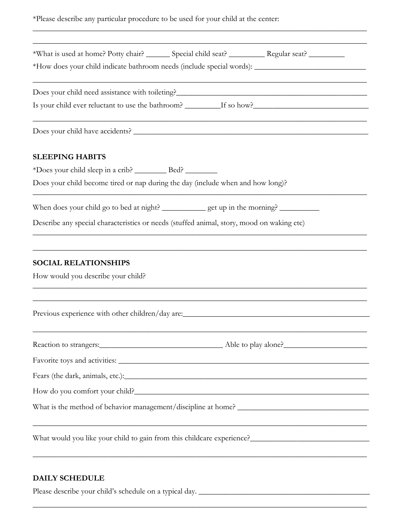|  |  |  |  | *Please describe any particular procedure to be used for your child at the center: |
|--|--|--|--|------------------------------------------------------------------------------------|
|--|--|--|--|------------------------------------------------------------------------------------|

\_\_\_\_\_\_\_\_\_\_\_\_\_\_\_\_\_\_\_\_\_\_\_\_\_\_\_\_\_\_\_\_\_\_\_\_\_\_\_\_\_\_\_\_\_\_\_\_\_\_\_\_\_\_\_\_\_\_\_\_\_\_\_\_\_\_\_\_\_\_\_\_\_\_\_\_\_\_\_\_\_\_\_\_

| *What is used at home? Potty chair? _______ Special child seat? _________ Regular seat? ________                      |
|-----------------------------------------------------------------------------------------------------------------------|
|                                                                                                                       |
|                                                                                                                       |
|                                                                                                                       |
| <b>SLEEPING HABITS</b>                                                                                                |
|                                                                                                                       |
| Does your child become tired or nap during the day (include when and how long)?                                       |
| When does your child go to bed at night? _____________ get up in the morning? __________                              |
| Describe any special characteristics or needs (stuffed animal, story, mood on waking etc)                             |
| <b>SOCIAL RELATIONSHIPS</b><br>How would you describe your child?                                                     |
|                                                                                                                       |
|                                                                                                                       |
|                                                                                                                       |
|                                                                                                                       |
|                                                                                                                       |
|                                                                                                                       |
| <u> 1989 - Andrea Santa Andrea Andrea Andrea Andrea Andrea Andrea Andrea Andrea Andrea Andrea Andrea Andrea Andr</u>  |
| <u> 1989 - Johann Stoff, deutscher Stoffen und der Stoffen und der Stoffen und der Stoffen und der Stoffen und de</u> |

\_\_\_\_\_\_\_\_\_\_\_\_\_\_\_\_\_\_\_\_\_\_\_\_\_\_\_\_\_\_\_\_\_\_\_\_\_\_\_\_\_\_\_\_\_\_\_\_\_\_\_\_\_\_\_\_\_\_\_\_\_\_\_\_\_\_\_\_\_\_\_\_\_\_\_\_\_\_\_\_\_\_\_\_

## **DAILY SCHEDULE**

Please describe your child's schedule on a typical day. \_\_\_\_\_\_\_\_\_\_\_\_\_\_\_\_\_\_\_\_\_\_\_\_\_\_\_\_\_\_\_\_\_\_\_\_\_\_\_\_\_\_\_